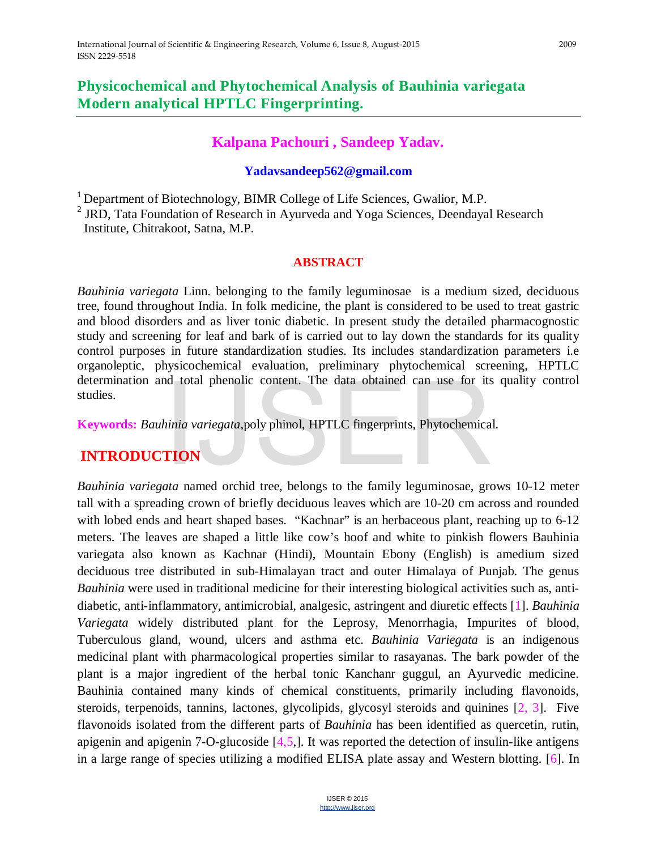## **Physicochemical and Phytochemical Analysis of Bauhinia variegata Modern analytical HPTLC Fingerprinting.**

#### **Kalpana Pachouri , Sandeep Yadav.**

#### **Yadavsandeep562@gmail.com**

<sup>1</sup> Department of Biotechnology, BIMR College of Life Sciences, Gwalior, M.P.

<sup>2</sup> JRD, Tata Foundation of Research in Ayurveda and Yoga Sciences, Deendayal Research Institute, Chitrakoot, Satna, M.P.

#### **ABSTRACT**

*Bauhinia variegata* Linn. belonging to the family leguminosae is a medium sized, deciduous tree, found throughout India. In folk medicine, the plant is considered to be used to treat gastric and blood disorders and as liver tonic diabetic. In present study the detailed pharmacognostic study and screening for leaf and bark of is carried out to lay down the standards for its quality control purposes in future standardization studies. Its includes standardization parameters i.e organoleptic, physicochemical evaluation, preliminary phytochemical screening, HPTLC determination and total phenolic content. The data obtained can use for its quality control studies. ind total phenolic content. The data obtained can use for its<br>
ininia variegata, poly phinol, HPTLC fingerprints, Phytochemica<br> **IION** 

**Keywords:** *Bauhinia variegata*,poly phinol, HPTLC fingerprints, Phytochemical.

## **INTRODUCTION**

*Bauhinia variegata* named orchid tree, belongs to the family leguminosae, grows 10-12 meter tall with a spreading crown of briefly deciduous leaves which are 10-20 cm across and rounded with lobed ends and heart shaped bases. "Kachnar" is an herbaceous plant, reaching up to 6-12 meters. The leaves are shaped a little like cow's hoof and white to pinkish flowers Bauhinia variegata also known as Kachnar (Hindi), Mountain Ebony (English) is amedium sized deciduous tree distributed in sub-Himalayan tract and outer Himalaya of Punjab. The genus *Bauhinia* were used in traditional medicine for their interesting biological activities such as, antidiabetic, anti-inflammatory, antimicrobial, analgesic, astringent and diuretic effects [1]. *Bauhinia Variegata* widely distributed plant for the Leprosy, Menorrhagia, Impurites of blood, Tuberculous gland, wound, ulcers and asthma etc. *Bauhinia Variegata* is an indigenous medicinal plant with pharmacological properties similar to rasayanas. The bark powder of the plant is a major ingredient of the herbal tonic Kanchanr guggul, an Ayurvedic medicine. Bauhinia contained many kinds of chemical constituents, primarily including flavonoids, steroids, terpenoids, tannins, lactones, glycolipids, glycosyl steroids and quinines [2, 3]. Five flavonoids isolated from the different parts of *Bauhinia* has been identified as quercetin, rutin, apigenin and apigenin 7-O-glucoside [4,5,]. It was reported the detection of insulin-like antigens in a large range of species utilizing a modified ELISA plate assay and Western blotting. [6]. In

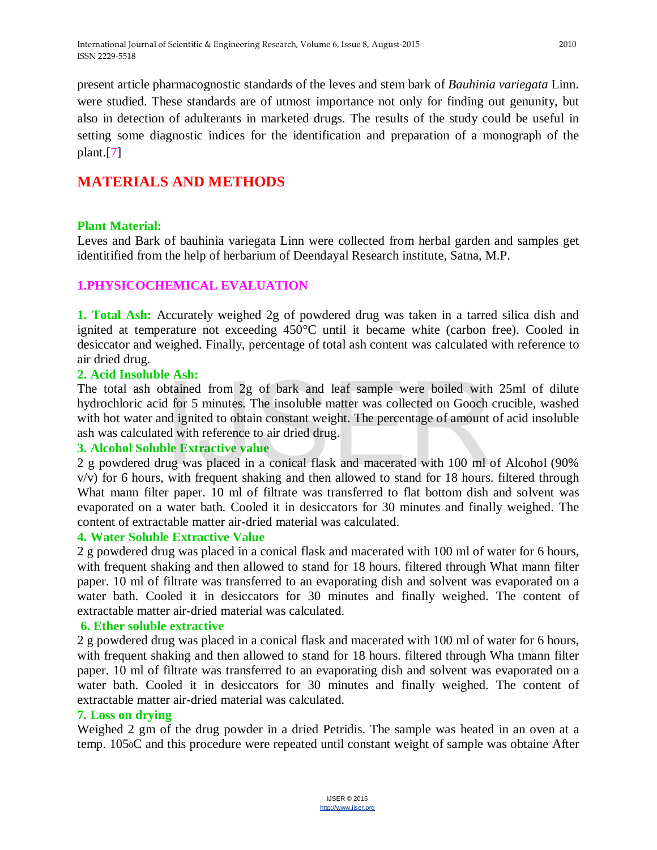present article pharmacognostic standards of the leves and stem bark of *Bauhinia variegata* Linn. were studied. These standards are of utmost importance not only for finding out genunity, but also in detection of adulterants in marketed drugs. The results of the study could be useful in setting some diagnostic indices for the identification and preparation of a monograph of the plant.[7]

## **MATERIALS AND METHODS**

#### **Plant Material:**

Leves and Bark of bauhinia variegata Linn were collected from herbal garden and samples get identitified from the help of herbarium of Deendayal Research institute, Satna, M.P.

#### **1.PHYSICOCHEMICAL EVALUATION**

**1. Total Ash:** Accurately weighed 2g of powdered drug was taken in a tarred silica dish and ignited at temperature not exceeding 450°C until it became white (carbon free). Cooled in desiccator and weighed. Finally, percentage of total ash content was calculated with reference to air dried drug.

#### **2. Acid Insoluble Ash:**

The total ash obtained from 2g of bark and leaf sample were boiled with 25ml of dilute hydrochloric acid for 5 minutes. The insoluble matter was collected on Gooch crucible, washed with hot water and ignited to obtain con hydrochloric acid for 5 minutes. The insoluble matter was collected on Gooch crucible, washed with hot water and ignited to obtain constant weight. The percentage of amount of acid insoluble ash was calculated with reference to air dried drug.

#### **3. Alcohol Soluble Extractive value**

2 g powdered drug was placed in a conical flask and macerated with 100 ml of Alcohol (90% v/v) for 6 hours, with frequent shaking and then allowed to stand for 18 hours. filtered through What mann filter paper. 10 ml of filtrate was transferred to flat bottom dish and solvent was evaporated on a water bath. Cooled it in desiccators for 30 minutes and finally weighed. The content of extractable matter air-dried material was calculated.

#### **4. Water Soluble Extractive Value**

2 g powdered drug was placed in a conical flask and macerated with 100 ml of water for 6 hours, with frequent shaking and then allowed to stand for 18 hours. filtered through What mann filter paper. 10 ml of filtrate was transferred to an evaporating dish and solvent was evaporated on a water bath. Cooled it in desiccators for 30 minutes and finally weighed. The content of extractable matter air-dried material was calculated.

#### **6. Ether soluble extractive**

2 g powdered drug was placed in a conical flask and macerated with 100 ml of water for 6 hours, with frequent shaking and then allowed to stand for 18 hours. filtered through Wha tmann filter paper. 10 ml of filtrate was transferred to an evaporating dish and solvent was evaporated on a water bath. Cooled it in desiccators for 30 minutes and finally weighed. The content of extractable matter air-dried material was calculated.

#### **7. Loss on drying**

Weighed 2 gm of the drug powder in a dried Petridis. The sample was heated in an oven at a temp. 1050C and this procedure were repeated until constant weight of sample was obtaine After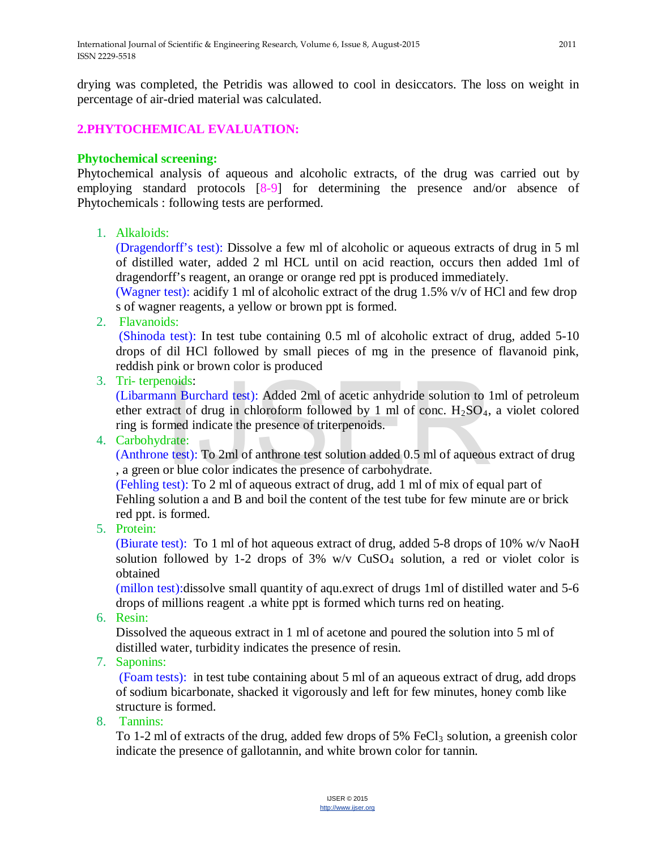drying was completed, the Petridis was allowed to cool in desiccators. The loss on weight in percentage of air-dried material was calculated.

#### **2.PHYTOCHEMICAL EVALUATION:**

#### **Phytochemical screening:**

Phytochemical analysis of aqueous and alcoholic extracts, of the drug was carried out by employing standard protocols [8-9] for determining the presence and/or absence of Phytochemicals : following tests are performed.

1. Alkaloids:

(Dragendorff's test): Dissolve a few ml of alcoholic or aqueous extracts of drug in 5 ml of distilled water, added 2 ml HCL until on acid reaction, occurs then added 1ml of dragendorff's reagent, an orange or orange red ppt is produced immediately.

(Wagner test): acidify 1 ml of alcoholic extract of the drug 1.5% v/v of HCl and few drop s of wagner reagents, a yellow or brown ppt is formed.

2. Flavanoids:

(Shinoda test): In test tube containing 0.5 ml of alcoholic extract of drug, added 5-10 drops of dil HCl followed by small pieces of mg in the presence of flavanoid pink, reddish pink or brown color is produced

3. Tri- terpenoids:

(Libarmann Burchard test): Added 2ml of acetic anhydride solution to 1ml of petroleum ether extract of drug in chloroform followed by 1 ml of conc.  $H_2SO_4$ , a violet colored ring is formed indicate the presence of triterpenoids. ma Burchard test): Added 2ml of acetic anhydride solution to 1<br>ract of drug in chloroform followed by 1 ml of conc.  $H_2SO_4$ ,<br>rmed indicate the presence of triterpenoids.<br>**lrate:**<br>e test): To 2ml of anthrone test solution

4. Carbohydrate:

(Anthrone test): To 2ml of anthrone test solution added 0.5 ml of aqueous extract of drug , a green or blue color indicates the presence of carbohydrate.

(Fehling test): To 2 ml of aqueous extract of drug, add 1 ml of mix of equal part of Fehling solution a and B and boil the content of the test tube for few minute are or brick red ppt. is formed.

5. Protein:

(Biurate test): To 1 ml of hot aqueous extract of drug, added 5-8 drops of 10% w/v NaoH solution followed by 1-2 drops of 3% w/v  $CuSO<sub>4</sub>$  solution, a red or violet color is obtained

(millon test):dissolve small quantity of aqu.exrect of drugs 1ml of distilled water and 5-6 drops of millions reagent .a white ppt is formed which turns red on heating.

6. Resin:

Dissolved the aqueous extract in 1 ml of acetone and poured the solution into 5 ml of distilled water, turbidity indicates the presence of resin.

7. Saponins:

(Foam tests): in test tube containing about 5 ml of an aqueous extract of drug, add drops of sodium bicarbonate, shacked it vigorously and left for few minutes, honey comb like structure is formed.

8. Tannins:

To 1-2 ml of extracts of the drug, added few drops of  $5\%$  FeCl<sub>3</sub> solution, a greenish color indicate the presence of gallotannin, and white brown color for tannin.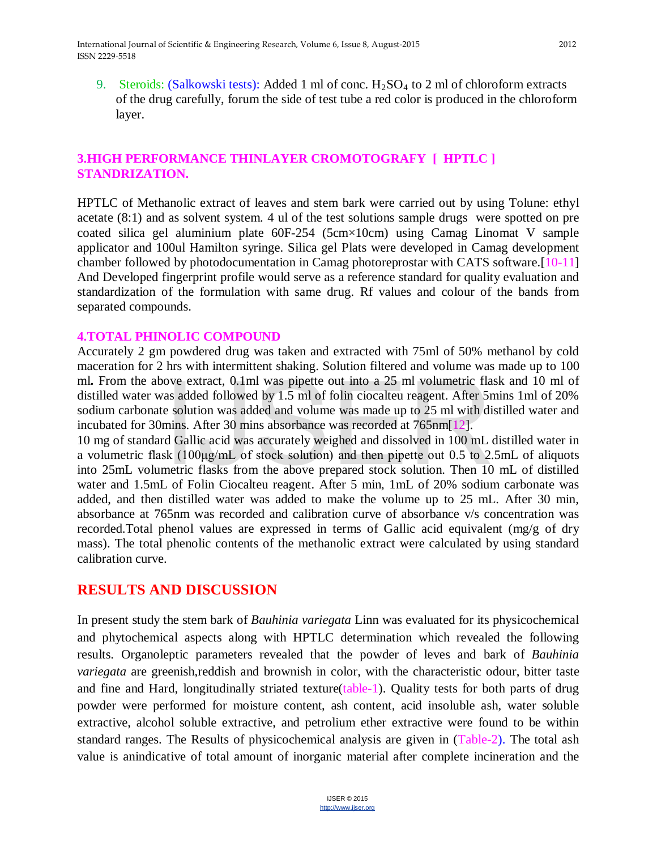9. Steroids: (Salkowski tests): Added 1 ml of conc.  $H_2SO_4$  to 2 ml of chloroform extracts of the drug carefully, forum the side of test tube a red color is produced in the chloroform layer.

#### **3.HIGH PERFORMANCE THINLAYER CROMOTOGRAFY [ HPTLC ] STANDRIZATION.**

HPTLC of Methanolic extract of leaves and stem bark were carried out by using Tolune: ethyl acetate (8:1) and as solvent system. 4 ul of the test solutions sample drugs were spotted on pre coated silica gel aluminium plate 60F-254 (5cm×10cm) using Camag Linomat V sample applicator and 100ul Hamilton syringe. Silica gel Plats were developed in Camag development chamber followed by photodocumentation in Camag photoreprostar with CATS software.[10-11] And Developed fingerprint profile would serve as a reference standard for quality evaluation and standardization of the formulation with same drug. Rf values and colour of the bands from separated compounds.

#### **4.TOTAL PHINOLIC COMPOUND**

Accurately 2 gm powdered drug was taken and extracted with 75ml of 50% methanol by cold maceration for 2 hrs with intermittent shaking. Solution filtered and volume was made up to 100 ml**.** From the above extract, 0.1ml was pipette out into a 25 ml volumetric flask and 10 ml of distilled water was added followed by 1.5 ml of folin ciocalteu reagent. After 5mins 1ml of 20% sodium carbonate solution was added and volume was made up to 25 ml with distilled water and incubated for 30mins. After 30 mins absorbance was recorded at 765nm[12].

10 mg of standard Gallic acid was accurately weighed and dissolved in 100 mL distilled water in a volumetric flask (100μg/mL of stock solution) and then pipette out 0.5 to 2.5mL of aliquots into 25mL volumetric flasks from the above prepared stock solution. Then 10 mL of distilled water and 1.5mL of Folin Ciocalteu reagent. After 5 min, 1mL of 20% sodium carbonate was added, and then distilled water was added to make the volume up to 25 mL. After 30 min, absorbance at 765nm was recorded and calibration curve of absorbance v/s concentration was recorded.Total phenol values are expressed in terms of Gallic acid equivalent (mg/g of dry mass). The total phenolic contents of the methanolic extract were calculated by using standard calibration curve. ove extract, 0.1ml was pipette out into a 25 ml volumetric fla<br>as added followed by 1.5 ml of folin ciocalteu reagent. After 5r<br>e solution was added and volume was made up to 25 ml with di<br>mins. After 30 mins absorbance w

#### **RESULTS AND DISCUSSION**

In present study the stem bark of *Bauhinia variegata* Linn was evaluated for its physicochemical and phytochemical aspects along with HPTLC determination which revealed the following results. Organoleptic parameters revealed that the powder of leves and bark of *Bauhinia variegata* are greenish,reddish and brownish in color, with the characteristic odour, bitter taste and fine and Hard, longitudinally striated texture(table-1). Quality tests for both parts of drug powder were performed for moisture content, ash content, acid insoluble ash, water soluble extractive, alcohol soluble extractive, and petrolium ether extractive were found to be within standard ranges. The Results of physicochemical analysis are given in (Table-2). The total ash value is anindicative of total amount of inorganic material after complete incineration and the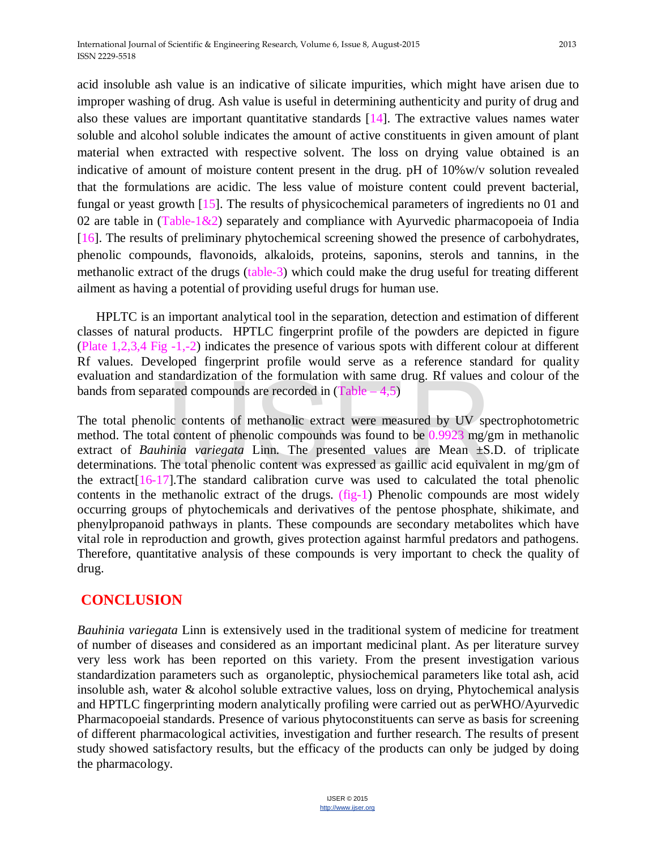acid insoluble ash value is an indicative of silicate impurities, which might have arisen due to improper washing of drug. Ash value is useful in determining authenticity and purity of drug and also these values are important quantitative standards [14]. The extractive values names water soluble and alcohol soluble indicates the amount of active constituents in given amount of plant material when extracted with respective solvent. The loss on drying value obtained is an indicative of amount of moisture content present in the drug. pH of 10%w/v solution revealed that the formulations are acidic. The less value of moisture content could prevent bacterial, fungal or yeast growth [15]. The results of physicochemical parameters of ingredients no 01 and 02 are table in  $(Table-1&2)$  separately and compliance with Ayurvedic pharmacopoeia of India [16]. The results of preliminary phytochemical screening showed the presence of carbohydrates, phenolic compounds, flavonoids, alkaloids, proteins, saponins, sterols and tannins, in the methanolic extract of the drugs (table-3) which could make the drug useful for treating different ailment as having a potential of providing useful drugs for human use.

 HPLTC is an important analytical tool in the separation, detection and estimation of different classes of natural products. HPTLC fingerprint profile of the powders are depicted in figure (Plate 1,2,3,4 Fig -1,-2) indicates the presence of various spots with different colour at different Rf values. Developed fingerprint profile would serve as a reference standard for quality evaluation and standardization of the formulation with same drug. Rf values and colour of the bands from separated compounds are recorded in  $(Table - 4.5)$ 

The total phenolic contents of methanolic extract were measured by UV spectrophotometric method. The total content of phenolic compounds was found to be 0.9923 mg/gm in methanolic extract of *Bauhinia variegata* Linn. The presented values are Mean ±S.D. of triplicate determinations. The total phenolic content was expressed as gaillic acid equivalent in mg/gm of the extract  $[16-17]$ . The standard calibration curve was used to calculated the total phenolic contents in the methanolic extract of the drugs. (fig-1) Phenolic compounds are most widely occurring groups of phytochemicals and derivatives of the pentose phosphate, shikimate, and phenylpropanoid pathways in plants. These compounds are secondary metabolites which have vital role in reproduction and growth, gives protection against harmful predators and pathogens. Therefore, quantitative analysis of these compounds is very important to check the quality of drug. randa dization of the formulation with same drug. Kr values a<br>ated compounds are recorded in (Table – 4,5)<br>lic contents of methanolic extract were measured by UV spe<br>al content of phenolic compounds was found to be 0.9923

### **CONCLUSION**

*Bauhinia variegata* Linn is extensively used in the traditional system of medicine for treatment of number of diseases and considered as an important medicinal plant. As per literature survey very less work has been reported on this variety. From the present investigation various standardization parameters such as organoleptic, physiochemical parameters like total ash, acid insoluble ash, water & alcohol soluble extractive values, loss on drying, Phytochemical analysis and HPTLC fingerprinting modern analytically profiling were carried out as perWHO/Ayurvedic Pharmacopoeial standards. Presence of various phytoconstituents can serve as basis for screening of different pharmacological activities, investigation and further research. The results of present study showed satisfactory results, but the efficacy of the products can only be judged by doing the pharmacology.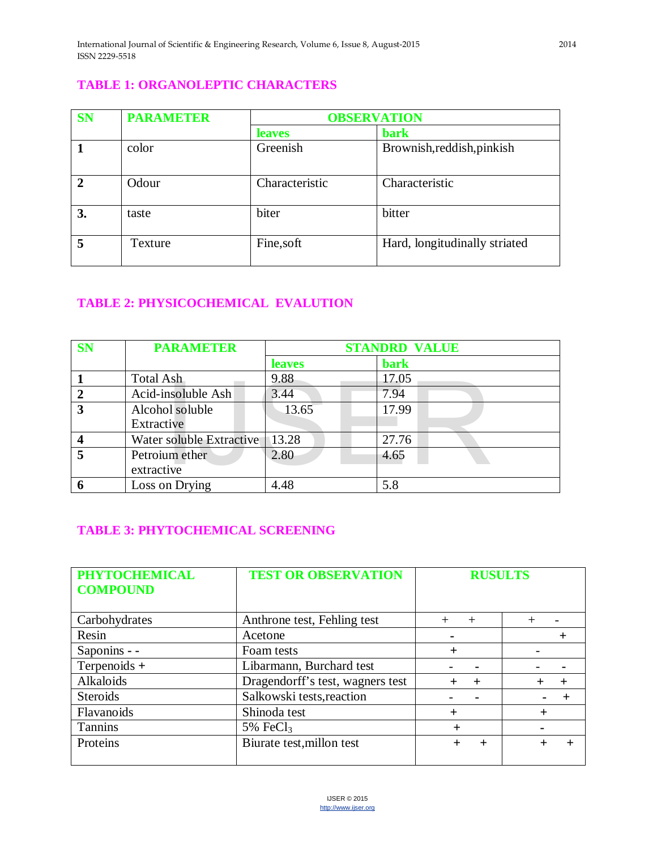## **TABLE 1: ORGANOLEPTIC CHARACTERS**

| <b>SN</b>      | <b>PARAMETER</b> | <b>OBSERVATION</b> |                               |  |
|----------------|------------------|--------------------|-------------------------------|--|
|                |                  | <b>leaves</b>      | <b>bark</b>                   |  |
|                | color            | Greenish           | Brownish, reddish, pinkish    |  |
| $\overline{2}$ | Odour            | Characteristic     | Characteristic                |  |
| 3.             | taste            | biter              | bitter                        |  |
| 5              | Texture          | Fine, soft         | Hard, longitudinally striated |  |

## **TABLE 2: PHYSICOCHEMICAL EVALUTION**

| <b>SN</b>        | <b>PARAMETER</b>         | <b>STANDRD VALUE</b> |             |  |
|------------------|--------------------------|----------------------|-------------|--|
|                  |                          | <b>leaves</b>        | <b>bark</b> |  |
|                  | Total Ash                | 9.88                 | 17.05       |  |
| $\overline{2}$   | Acid-insoluble Ash       | 3.44                 | 7.94        |  |
| 3                | Alcohol soluble          | 13.65                | 17.99       |  |
|                  | Extractive               |                      |             |  |
| $\boldsymbol{4}$ | Water soluble Extractive | 13.28                | 27.76       |  |
| 5                | Petroium ether           | 2.80                 | 4.65        |  |
|                  | extractive               |                      |             |  |
| 6                | Loss on Drying           | 4.48                 | 5.8         |  |

#### **TABLE 3: PHYTOCHEMICAL SCREENING**

| <b>PHYTOCHEMICAL</b><br><b>COMPOUND</b> | <b>TEST OR OBSERVATION</b>       | <b>RUSULTS</b>                |                |
|-----------------------------------------|----------------------------------|-------------------------------|----------------|
| Carbohydrates                           | Anthrone test, Fehling test      | $\overline{+}$<br>$^+$        |                |
| Resin                                   | Acetone                          |                               |                |
| Saponins - -                            | Foam tests                       | $\pm$                         |                |
| Terpenoids +                            | Libarmann, Burchard test         |                               |                |
| Alkaloids                               | Dragendorff's test, wagners test | $\ddot{}$<br>$\boldsymbol{+}$ |                |
| <b>Steroids</b>                         | Salkowski tests, reaction        |                               |                |
| Flavanoids                              | Shinoda test                     | $\div$                        | $\div$         |
| <b>Tannins</b>                          | $5\%$ FeCl <sub>3</sub>          | $^{+}$                        | $\blacksquare$ |
| Proteins                                | Biurate test, millon test        | $^{+}$                        |                |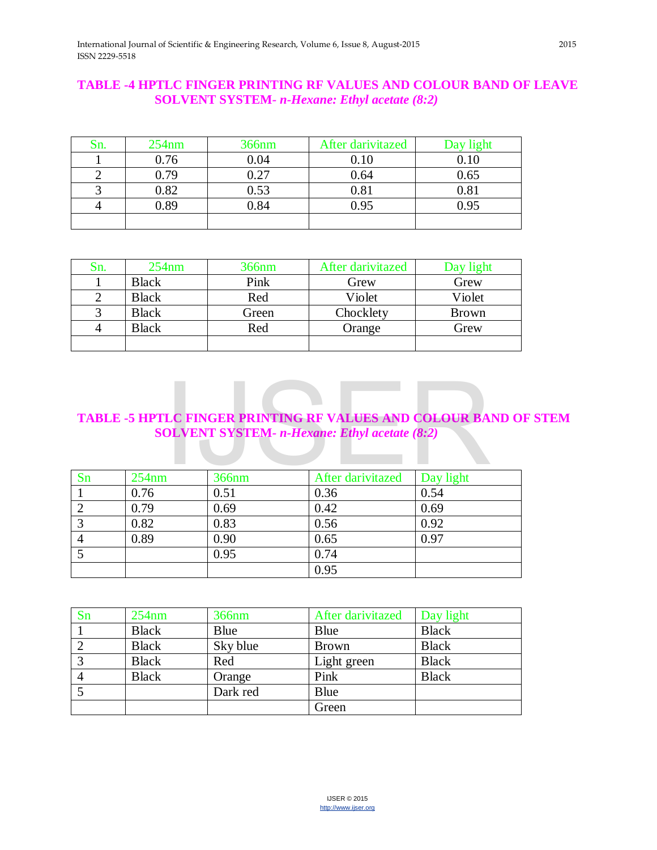#### **TABLE -4 HPTLC FINGER PRINTING RF VALUES AND COLOUR BAND OF LEAVE SOLVENT SYSTEM***- n-Hexane: Ethyl acetate (8:2)*

| Sn. | 254nm | 366nm | After darivitazed | Day light |
|-----|-------|-------|-------------------|-----------|
|     | 0.76  | 0.04  | 0.10              | 0.10      |
|     | 0.79  | 0.27  | 0.64              | 0.65      |
|     | 0.82  | 0.53  | 0.81              | 0.81      |
|     | 0.89  | 0.84  | 0.95              | 0.95      |
|     |       |       |                   |           |

| Sn. | 254nm        | 366 <sub>nm</sub> | After darivitazed | Day light    |
|-----|--------------|-------------------|-------------------|--------------|
|     | <b>Black</b> | Pink              | Grew              | Grew         |
|     | <b>Black</b> | Red               | Violet            | Violet       |
|     | <b>Black</b> | Green             | Chocklety         | <b>Brown</b> |
| 4   | <b>Black</b> | Red               | Orange            | Grew         |
|     |              |                   |                   |              |

# **TABLE -5 HPTLC FINGER PRINTING RF VALUES AND COLOUR BAND OF STEM SOLVENT SYSTEM***- n-Hexane: Ethyl acetate (8:2)* LC FINGER PRINTING RF VALUES AND COLOUR BALCOLUMENT SYSTEM- *n-Hexane: Ethyl acetate (8:2)*<br>
1 366nm After darivitazed Day light

| Sn | 254nm | 366nm | After darivitazed | Day light |
|----|-------|-------|-------------------|-----------|
|    | 0.76  | 0.51  | 0.36              | 0.54      |
| 2  | 0.79  | 0.69  | 0.42              | 0.69      |
| 3  | 0.82  | 0.83  | 0.56              | 0.92      |
|    | 0.89  | 0.90  | 0.65              | 0.97      |
|    |       | 0.95  | 0.74              |           |
|    |       |       | 0.95              |           |

| Sn | 254nm        | 366nm    | After darivitazed | Day light    |
|----|--------------|----------|-------------------|--------------|
|    | <b>Black</b> | Blue     | Blue              | <b>Black</b> |
|    | <b>Black</b> | Sky blue | <b>Brown</b>      | <b>Black</b> |
|    | <b>Black</b> | Red      | Light green       | <b>Black</b> |
|    | <b>Black</b> | Orange   | Pink              | <b>Black</b> |
|    |              | Dark red | Blue              |              |
|    |              |          | Green             |              |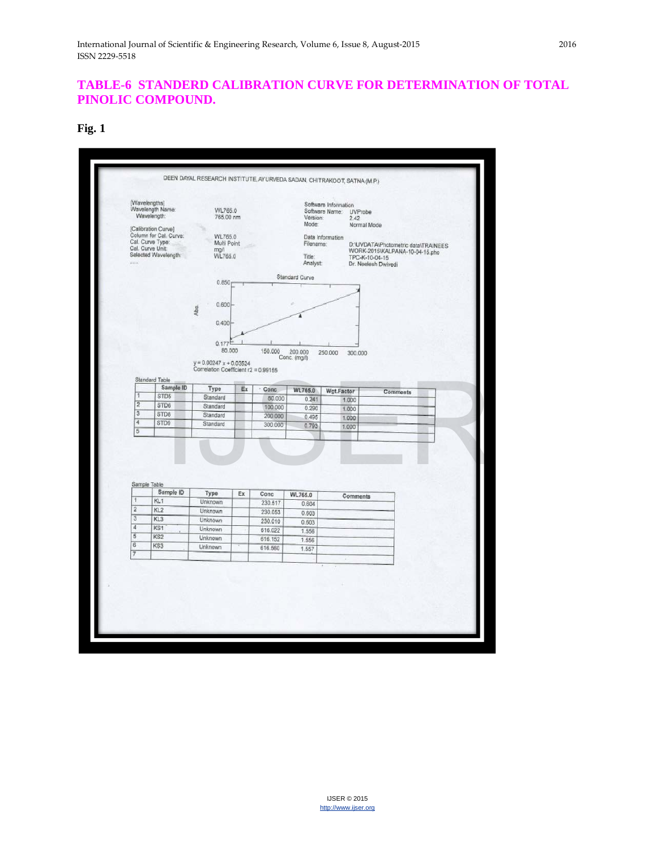#### **TABLE-6 STANDERD CALIBRATION CURVE FOR DETERMINATION OF TOTAL PINOLIC COMPOUND.**

**Fig. 1**

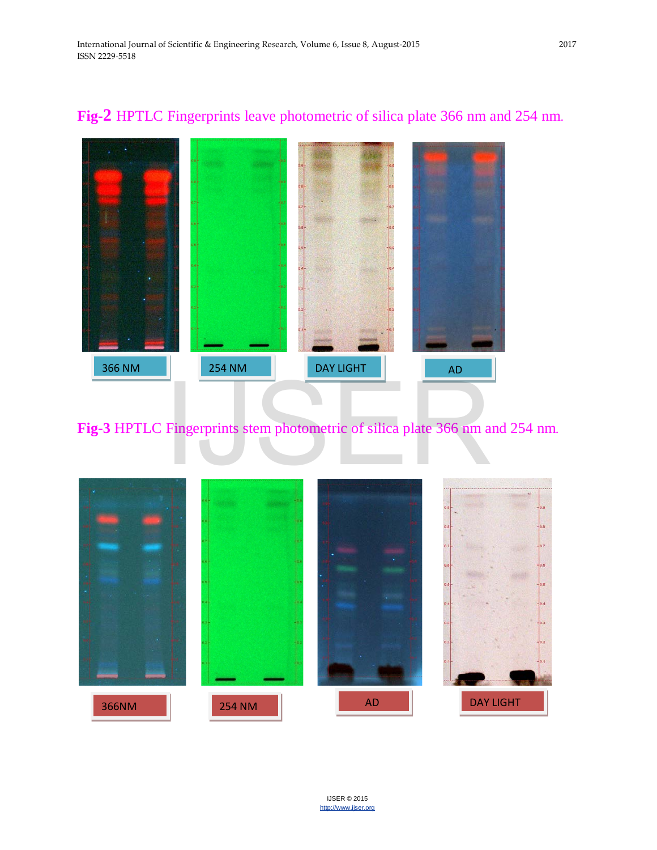

## **Fig-2** HPTLC Fingerprints leave photometric of silica plate 366 nm and 254 nm.

**Fig-3** HPTLC Fingerprints stem photometric of silica plate 366 nm and 254 nm.



IJSER © 2015 [http://www.ijser.org](http://www.ijser.org/)